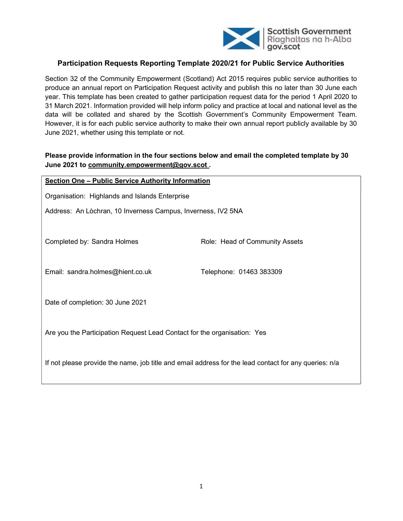

# Participation Requests Reporting Template 2020/21 for Public Service Authorities

Section 32 of the Community Empowerment (Scotland) Act 2015 requires public service authorities to produce an annual report on Participation Request activity and publish this no later than 30 June each year. This template has been created to gather participation request data for the period 1 April 2020 to 31 March 2021. Information provided will help inform policy and practice at local and national level as the data will be collated and shared by the Scottish Government's Community Empowerment Team. However, it is for each public service authority to make their own annual report publicly available by 30 June 2021, whether using this template or not.

# Please provide information in the four sections below and email the completed template by 30 June 2021 to community.empowerment@gov.scot.

| <b>Section One - Public Service Authority Information</b>                                             |                                |  |  |  |  |  |
|-------------------------------------------------------------------------------------------------------|--------------------------------|--|--|--|--|--|
| Organisation: Highlands and Islands Enterprise                                                        |                                |  |  |  |  |  |
| Address: An Lòchran, 10 Inverness Campus, Inverness, IV2 5NA                                          |                                |  |  |  |  |  |
|                                                                                                       |                                |  |  |  |  |  |
| Completed by: Sandra Holmes                                                                           | Role: Head of Community Assets |  |  |  |  |  |
|                                                                                                       |                                |  |  |  |  |  |
| Email: sandra.holmes@hient.co.uk                                                                      | Telephone: 01463 383309        |  |  |  |  |  |
|                                                                                                       |                                |  |  |  |  |  |
| Date of completion: 30 June 2021                                                                      |                                |  |  |  |  |  |
| Are you the Participation Request Lead Contact for the organisation: Yes                              |                                |  |  |  |  |  |
|                                                                                                       |                                |  |  |  |  |  |
| If not please provide the name, job title and email address for the lead contact for any queries: n/a |                                |  |  |  |  |  |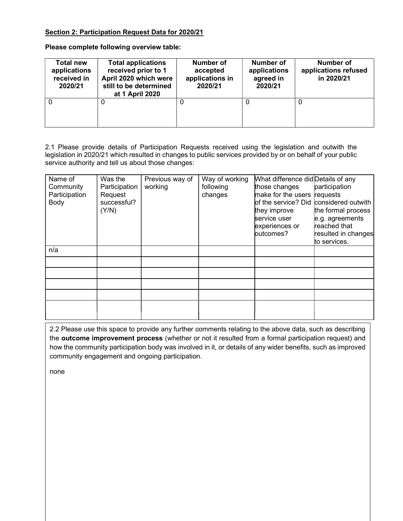## Section 2: Participation Request Data for 2020/21

Please complete following overview table:

| <b>Total new</b><br>applications<br>received in<br>2020/21 | <b>Total applications</b><br>received prior to 1<br>April 2020 which were<br>still to be determined<br>at 1 April 2020 | <b>Number of</b><br>accepted<br>applications in<br>2020/21 | Number of<br>applications<br>agreed in<br>2020/21 | Number of<br>applications refused<br>in 2020/21 |
|------------------------------------------------------------|------------------------------------------------------------------------------------------------------------------------|------------------------------------------------------------|---------------------------------------------------|-------------------------------------------------|
| 0                                                          | U                                                                                                                      | 0                                                          |                                                   | 0                                               |

2.1 Please provide details of Participation Requests received using the legislation and outwith the legislation in 2020/21 which resulted in changes to public services provided by or on behalf of your public service authority and tell us about those changes:

| Name of<br>Community<br>Participation<br>Body | Was the<br>Participation<br>Request<br>successful?<br>(Y/N) | Previous way of<br>working | Way of working<br>following<br>changes | What difference did Details of any<br>those changes<br>make for the users requests<br>of the service? Did<br>they improve<br>service user<br>experiences or<br>butcomes? | participation<br>considered outwith<br>the formal process<br>e.g. agreements<br>reached that<br>resulted in changes |
|-----------------------------------------------|-------------------------------------------------------------|----------------------------|----------------------------------------|--------------------------------------------------------------------------------------------------------------------------------------------------------------------------|---------------------------------------------------------------------------------------------------------------------|
|                                               |                                                             |                            |                                        |                                                                                                                                                                          | to services.                                                                                                        |
| n/a                                           |                                                             |                            |                                        |                                                                                                                                                                          |                                                                                                                     |
|                                               |                                                             |                            |                                        |                                                                                                                                                                          |                                                                                                                     |
|                                               |                                                             |                            |                                        |                                                                                                                                                                          |                                                                                                                     |
|                                               |                                                             |                            |                                        |                                                                                                                                                                          |                                                                                                                     |
|                                               |                                                             |                            |                                        |                                                                                                                                                                          |                                                                                                                     |
|                                               |                                                             |                            |                                        |                                                                                                                                                                          |                                                                                                                     |

2.2 Please use this space to provide any further comments relating to the above data, such as describing the outcome improvement process (whether or not it resulted from a formal participation request) and how the community participation body was involved in it, or details of any wider benefits, such as improved community engagement and ongoing participation.

none

 $\mathbb{I}$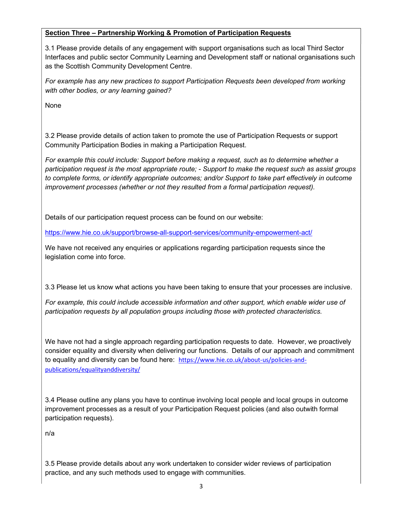### Section Three – Partnership Working & Promotion of Participation Requests

3.1 Please provide details of any engagement with support organisations such as local Third Sector Interfaces and public sector Community Learning and Development staff or national organisations such as the Scottish Community Development Centre.

For example has any new practices to support Participation Requests been developed from working with other bodies, or any learning gained?

None

3.2 Please provide details of action taken to promote the use of Participation Requests or support Community Participation Bodies in making a Participation Request.

For example this could include: Support before making a request, such as to determine whether a participation request is the most appropriate route; - Support to make the request such as assist groups to complete forms, or identify appropriate outcomes; and/or Support to take part effectively in outcome improvement processes (whether or not they resulted from a formal participation request).

Details of our participation request process can be found on our website:

https://www.hie.co.uk/support/browse-all-support-services/community-empowerment-act/

We have not received any enquiries or applications regarding participation requests since the legislation come into force.

3.3 Please let us know what actions you have been taking to ensure that your processes are inclusive.

For example, this could include accessible information and other support, which enable wider use of participation requests by all population groups including those with protected characteristics.

We have not had a single approach regarding participation requests to date. However, we proactively consider equality and diversity when delivering our functions. Details of our approach and commitment to equality and diversity can be found here: https://www.hie.co.uk/about-us/policies-andpublications/equalityanddiversity/

3.4 Please outline any plans you have to continue involving local people and local groups in outcome improvement processes as a result of your Participation Request policies (and also outwith formal participation requests).

n/a

3.5 Please provide details about any work undertaken to consider wider reviews of participation practice, and any such methods used to engage with communities.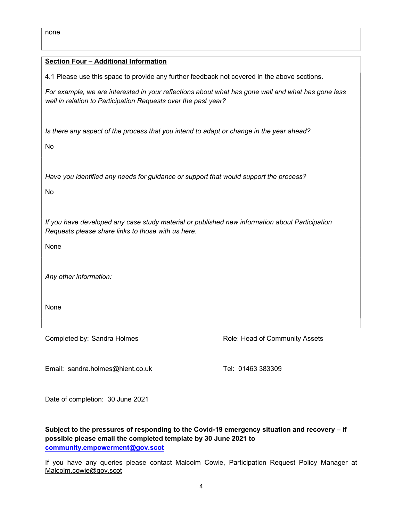#### Section Four – Additional Information

4.1 Please use this space to provide any further feedback not covered in the above sections.

For example, we are interested in your reflections about what has gone well and what has gone less well in relation to Participation Requests over the past year?

Is there any aspect of the process that you intend to adapt or change in the year ahead?

No

Have you identified any needs for guidance or support that would support the process?

No

If you have developed any case study material or published new information about Participation Requests please share links to those with us here.

None

Any other information:

None

Completed by: Sandra Holmes **Role: Head of Community Assets** 

Email: sandra.holmes@hient.co.uk Tel: 01463 383309

Date of completion: 30 June 2021

Subject to the pressures of responding to the Covid-19 emergency situation and recovery – if possible please email the completed template by 30 June 2021 to community.empowerment@gov.scot

If you have any queries please contact Malcolm Cowie, Participation Request Policy Manager at Malcolm.cowie@gov.scot